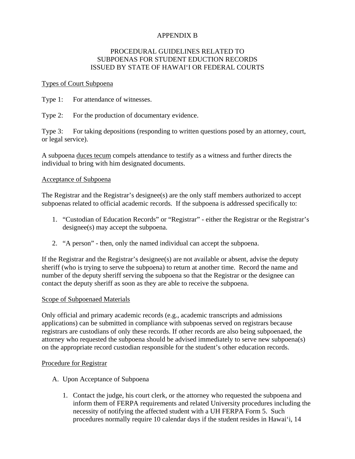# APPENDIX B

## PROCEDURAL GUIDELINES RELATED TO SUBPOENAS FOR STUDENT EDUCTION RECORDS ISSUED BY STATE OF HAWAI'I OR FEDERAL COURTS

### Types of Court Subpoena

Type 1: For attendance of witnesses.

Type 2: For the production of documentary evidence.

Type 3: For taking depositions (responding to written questions posed by an attorney, court, or legal service).

A subpoena duces tecum compels attendance to testify as a witness and further directs the individual to bring with him designated documents.

## Acceptance of Subpoena

The Registrar and the Registrar's designee(s) are the only staff members authorized to accept subpoenas related to official academic records. If the subpoena is addressed specifically to:

- 1. "Custodian of Education Records" or "Registrar" either the Registrar or the Registrar's designee(s) may accept the subpoena.
- 2. "A person" then, only the named individual can accept the subpoena.

If the Registrar and the Registrar's designee(s) are not available or absent, advise the deputy sheriff (who is trying to serve the subpoena) to return at another time. Record the name and number of the deputy sheriff serving the subpoena so that the Registrar or the designee can contact the deputy sheriff as soon as they are able to receive the subpoena.

#### Scope of Subpoenaed Materials

Only official and primary academic records (e.g., academic transcripts and admissions applications) can be submitted in compliance with subpoenas served on registrars because registrars are custodians of only these records. If other records are also being subpoenaed, the attorney who requested the subpoena should be advised immediately to serve new subpoena(s) on the appropriate record custodian responsible for the student's other education records.

#### Procedure for Registrar

- A. Upon Acceptance of Subpoena
	- 1. Contact the judge, his court clerk, or the attorney who requested the subpoena and inform them of FERPA requirements and related University procedures including the necessity of notifying the affected student with a UH FERPA Form 5. Such procedures normally require 10 calendar days if the student resides in Hawai'i, 14